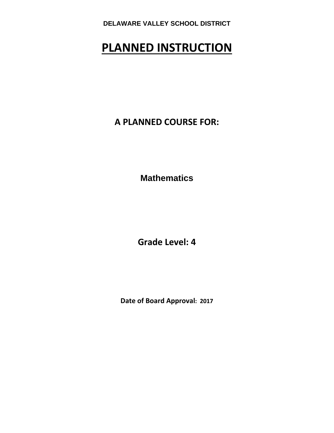# **PLANNED INSTRUCTION**

**A PLANNED COURSE FOR:**

**Mathematics** 

**Grade Level: 4**

**Date of Board Approval: 2017**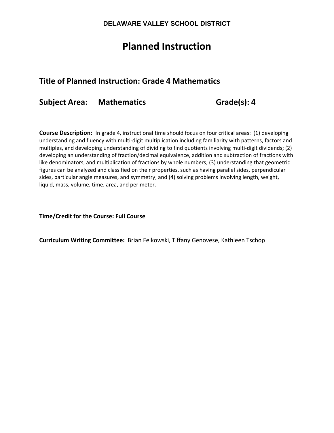## **Planned Instruction**

## **Title of Planned Instruction: Grade 4 Mathematics**

**Subject Area: Mathematics Grade(s): 4**

**Course Description:** In grade 4, instructional time should focus on four critical areas: (1) developing understanding and fluency with multi‐digit multiplication including familiarity with patterns, factors and multiples, and developing understanding of dividing to find quotients involving multi‐digit dividends; (2) developing an understanding of fraction/decimal equivalence, addition and subtraction of fractions with like denominators, and multiplication of fractions by whole numbers; (3) understanding that geometric figures can be analyzed and classified on their properties, such as having parallel sides, perpendicular sides, particular angle measures, and symmetry; and (4) solving problems involving length, weight, liquid, mass, volume, time, area, and perimeter.

**Time/Credit for the Course: Full Course**

**Curriculum Writing Committee:** Brian Felkowski, Tiffany Genovese, Kathleen Tschop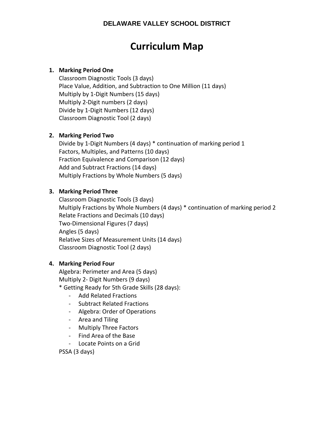## **Curriculum Map**

#### **1. Marking Period One**

Classroom Diagnostic Tools (3 days) Place Value, Addition, and Subtraction to One Million (11 days) Multiply by 1‐Digit Numbers (15 days) Multiply 2‐Digit numbers (2 days) Divide by 1‐Digit Numbers (12 days) Classroom Diagnostic Tool (2 days)

#### **2. Marking Period Two**

Divide by 1‐Digit Numbers (4 days) \* continuation of marking period 1 Factors, Multiples, and Patterns (10 days) Fraction Equivalence and Comparison (12 days) Add and Subtract Fractions (14 days) Multiply Fractions by Whole Numbers (5 days)

#### **3. Marking Period Three**

Classroom Diagnostic Tools (3 days) Multiply Fractions by Whole Numbers (4 days) \* continuation of marking period 2 Relate Fractions and Decimals (10 days) Two‐Dimensional Figures (7 days) Angles (5 days) Relative Sizes of Measurement Units (14 days) Classroom Diagnostic Tool (2 days)

#### **4. Marking Period Four**

Algebra: Perimeter and Area (5 days) Multiply 2‐ Digit Numbers (9 days)

- \* Getting Ready for 5th Grade Skills (28 days):
	- ‐ Add Related Fractions
	- ‐ Subtract Related Fractions
	- ‐ Algebra: Order of Operations
	- ‐ Area and Tiling
	- ‐ Multiply Three Factors
	- ‐ Find Area of the Base
	- ‐ Locate Points on a Grid

PSSA (3 days)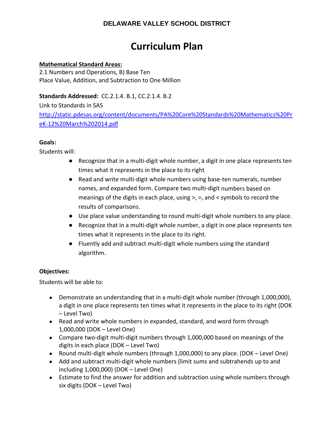## **Curriculum Plan**

#### **Mathematical Standard Areas:**

2.1 Numbers and Operations, B) Base Ten Place Value, Addition, and Subtraction to One Million

#### **Standards Addressed:** CC.2.1.4. B.1, CC.2.1.4. B.2

Link to Standards in SAS http://static.pdesas.org/content/documents/PA%20Core%20Standards%20Mathematics%20Pr eK‐12%20March%202014.pdf

#### **Goals:**

Students will:

- Recognize that in a multi-digit whole number, a digit in one place represents ten times what it represents in the place to its right
- Read and write multi-digit whole numbers using base-ten numerals, number names, and expanded form. Compare two multi‐digit numbers based on meanings of the digits in each place, using >, =, and < symbols to record the results of comparisons.
- Use place value understanding to round multi-digit whole numbers to any place.
- Recognize that in a multi-digit whole number, a digit in one place represents ten times what it represents in the place to its right.
- Fluently add and subtract multi-digit whole numbers using the standard algorithm.

#### **Objectives:**

- Demonstrate an understanding that in a multi-digit whole number (through 1,000,000), a digit in one place represents ten times what it represents in the place to its right (DOK – Level Two)
- Read and write whole numbers in expanded, standard, and word form through 1,000,000 (DOK – Level One)
- Compare two-digit multi-digit numbers through 1,000,000 based on meanings of the digits in each place (DOK – Level Two)
- Round multi‐digit whole numbers (through 1,000,000) to any place. (DOK Level One)
- Add and subtract multi-digit whole numbers (limit sums and subtrahends up to and including 1,000,000) (DOK – Level One)
- Estimate to find the answer for addition and subtraction using whole numbers through six digits (DOK – Level Two)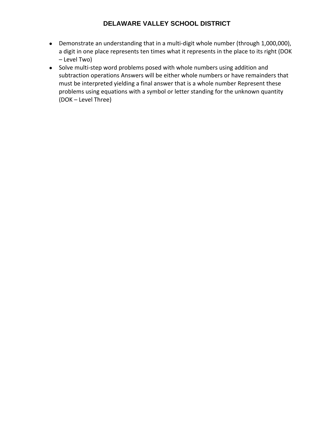- Demonstrate an understanding that in a multi-digit whole number (through 1,000,000), a digit in one place represents ten times what it represents in the place to its right (DOK – Level Two)
- Solve multi-step word problems posed with whole numbers using addition and subtraction operations Answers will be either whole numbers or have remainders that must be interpreted yielding a final answer that is a whole number Represent these problems using equations with a symbol or letter standing for the unknown quantity (DOK – Level Three)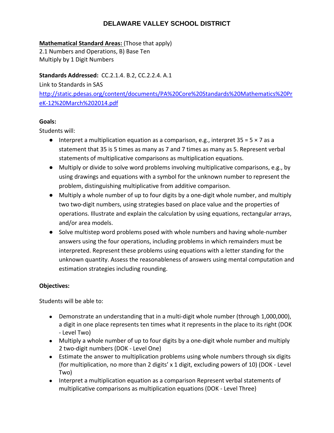#### **Mathematical Standard Areas:** (Those that apply)

2.1 Numbers and Operations, B) Base Ten Multiply by 1 Digit Numbers

#### **Standards Addressed:** CC.2.1.4. B.2, CC.2.2.4. A.1

Link to Standards in SAS http://static.pdesas.org/content/documents/PA%20Core%20Standards%20Mathematics%20Pr eK‐12%20March%202014.pdf

#### **Goals:**

Students will:

- $\bullet$  Interpret a multiplication equation as a comparison, e.g., interpret 35 = 5  $\times$  7 as a statement that 35 is 5 times as many as 7 and 7 times as many as 5. Represent verbal statements of multiplicative comparisons as multiplication equations.
- Multiply or divide to solve word problems involving multiplicative comparisons, e.g., by using drawings and equations with a symbol for the unknown number to represent the problem, distinguishing multiplicative from additive comparison.
- Multiply a whole number of up to four digits by a one-digit whole number, and multiply two two‐digit numbers, using strategies based on place value and the properties of operations. Illustrate and explain the calculation by using equations, rectangular arrays, and/or area models.
- Solve multistep word problems posed with whole numbers and having whole-number answers using the four operations, including problems in which remainders must be interpreted. Represent these problems using equations with a letter standing for the unknown quantity. Assess the reasonableness of answers using mental computation and estimation strategies including rounding.

#### **Objectives:**

- Demonstrate an understanding that in a multi-digit whole number (through 1,000,000), a digit in one place represents ten times what it represents in the place to its right (DOK ‐ Level Two)
- Multiply a whole number of up to four digits by a one-digit whole number and multiply 2 two‐digit numbers (DOK ‐ Level One)
- Estimate the answer to multiplication problems using whole numbers through six digits (for multiplication, no more than 2 digits' x 1 digit, excluding powers of 10) (DOK ‐ Level Two)
- Interpret a multiplication equation as a comparison Represent verbal statements of multiplicative comparisons as multiplication equations (DOK ‐ Level Three)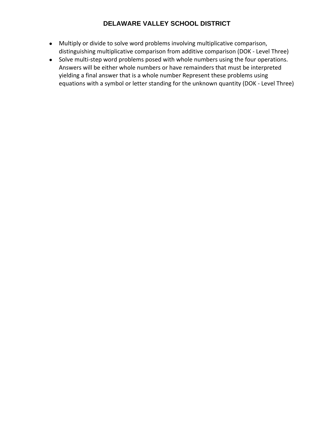- Multiply or divide to solve word problems involving multiplicative comparison, distinguishing multiplicative comparison from additive comparison (DOK ‐ Level Three)
- Solve multi-step word problems posed with whole numbers using the four operations. Answers will be either whole numbers or have remainders that must be interpreted yielding a final answer that is a whole number Represent these problems using equations with a symbol or letter standing for the unknown quantity (DOK ‐ Level Three)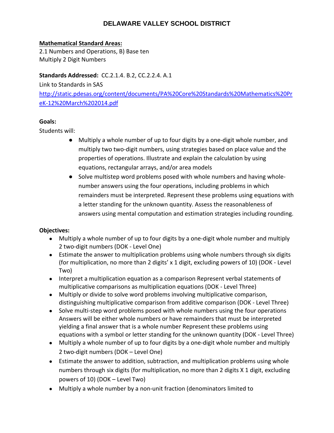#### **Mathematical Standard Areas:**

2.1 Numbers and Operations, B) Base ten Multiply 2 Digit Numbers

#### **Standards Addressed:** CC.2.1.4. B.2, CC.2.2.4. A.1

Link to Standards in SAS http://static.pdesas.org/content/documents/PA%20Core%20Standards%20Mathematics%20Pr eK‐12%20March%202014.pdf

#### **Goals:**

Students will:

- Multiply a whole number of up to four digits by a one-digit whole number, and multiply two two‐digit numbers, using strategies based on place value and the properties of operations. Illustrate and explain the calculation by using equations, rectangular arrays, and/or area models
- Solve multistep word problems posed with whole numbers and having wholenumber answers using the four operations, including problems in which remainders must be interpreted. Represent these problems using equations with a letter standing for the unknown quantity. Assess the reasonableness of answers using mental computation and estimation strategies including rounding.

### **Objectives:**

- Multiply a whole number of up to four digits by a one-digit whole number and multiply 2 two‐digit numbers (DOK ‐ Level One)
- Estimate the answer to multiplication problems using whole numbers through six digits (for multiplication, no more than 2 digits' x 1 digit, excluding powers of 10) (DOK ‐ Level Two)
- Interpret a multiplication equation as a comparison Represent verbal statements of multiplicative comparisons as multiplication equations (DOK ‐ Level Three)
- Multiply or divide to solve word problems involving multiplicative comparison, distinguishing multiplicative comparison from additive comparison (DOK ‐ Level Three)
- Solve multi-step word problems posed with whole numbers using the four operations Answers will be either whole numbers or have remainders that must be interpreted yielding a final answer that is a whole number Represent these problems using equations with a symbol or letter standing for the unknown quantity (DOK ‐ Level Three)
- Multiply a whole number of up to four digits by a one-digit whole number and multiply 2 two‐digit numbers (DOK – Level One)
- Estimate the answer to addition, subtraction, and multiplication problems using whole numbers through six digits (for multiplication, no more than 2 digits X 1 digit, excluding powers of 10) (DOK – Level Two)
- Multiply a whole number by a non-unit fraction (denominators limited to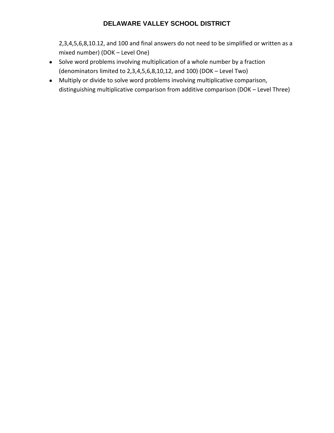2,3,4,5,6,8,10.12, and 100 and final answers do not need to be simplified or written as a mixed number) (DOK – Level One)

- Solve word problems involving multiplication of a whole number by a fraction (denominators limited to 2,3,4,5,6,8,10,12, and 100) (DOK – Level Two)
- Multiply or divide to solve word problems involving multiplicative comparison, distinguishing multiplicative comparison from additive comparison (DOK – Level Three)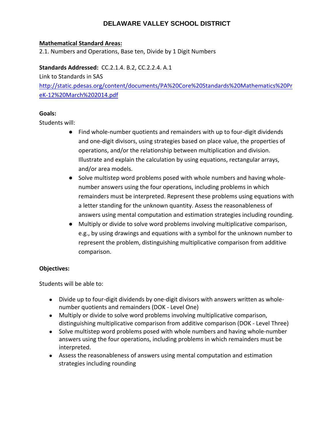#### **Mathematical Standard Areas:**

2.1. Numbers and Operations, Base ten, Divide by 1 Digit Numbers

#### **Standards Addressed:** CC.2.1.4. B.2, CC.2.2.4. A.1

Link to Standards in SAS

http://static.pdesas.org/content/documents/PA%20Core%20Standards%20Mathematics%20Pr eK‐12%20March%202014.pdf

#### **Goals:**

Students will:

- Find whole-number quotients and remainders with up to four-digit dividends and one‐digit divisors, using strategies based on place value, the properties of operations, and/or the relationship between multiplication and division. Illustrate and explain the calculation by using equations, rectangular arrays, and/or area models.
- Solve multistep word problems posed with whole numbers and having wholenumber answers using the four operations, including problems in which remainders must be interpreted. Represent these problems using equations with a letter standing for the unknown quantity. Assess the reasonableness of answers using mental computation and estimation strategies including rounding.
- Multiply or divide to solve word problems involving multiplicative comparison, e.g., by using drawings and equations with a symbol for the unknown number to represent the problem, distinguishing multiplicative comparison from additive comparison.

#### **Objectives:**

- Divide up to four-digit dividends by one-digit divisors with answers written as wholenumber quotients and remainders (DOK ‐ Level One)
- Multiply or divide to solve word problems involving multiplicative comparison, distinguishing multiplicative comparison from additive comparison (DOK ‐ Level Three)
- Solve multistep word problems posed with whole numbers and having whole-number answers using the four operations, including problems in which remainders must be interpreted.
- Assess the reasonableness of answers using mental computation and estimation strategies including rounding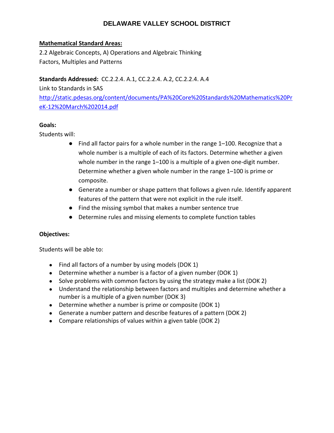#### **Mathematical Standard Areas:**

2.2 Algebraic Concepts, A) Operations and Algebraic Thinking Factors, Multiples and Patterns

#### **Standards Addressed:** CC.2.2.4. A.1, CC.2.2.4. A.2, CC.2.2.4. A.4

Link to Standards in SAS http://static.pdesas.org/content/documents/PA%20Core%20Standards%20Mathematics%20Pr eK‐12%20March%202014.pdf

#### **Goals:**

Students will:

- Find all factor pairs for a whole number in the range 1–100. Recognize that a whole number is a multiple of each of its factors. Determine whether a given whole number in the range 1–100 is a multiple of a given one-digit number. Determine whether a given whole number in the range 1–100 is prime or composite.
- Generate a number or shape pattern that follows a given rule. Identify apparent features of the pattern that were not explicit in the rule itself.
- Find the missing symbol that makes a number sentence true
- Determine rules and missing elements to complete function tables

#### **Objectives:**

- Find all factors of a number by using models (DOK 1)
- Determine whether a number is a factor of a given number (DOK 1)
- Solve problems with common factors by using the strategy make a list (DOK 2)
- Understand the relationship between factors and multiples and determine whether a number is a multiple of a given number (DOK 3)
- Determine whether a number is prime or composite (DOK 1)
- Generate a number pattern and describe features of a pattern (DOK 2)
- Compare relationships of values within a given table (DOK 2)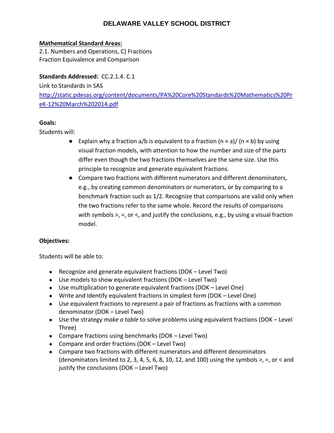#### **Mathematical Standard Areas:**

2.1. Numbers and Operations, C) Fractions Fraction Equivalence and Comparison

#### **Standards Addressed:** CC.2.1.4. C.1

Link to Standards in SAS http://static.pdesas.org/content/documents/PA%20Core%20Standards%20Mathematics%20Pr eK‐12%20March%202014.pdf

#### **Goals:**

Students will:

- **•** Explain why a fraction a/b is equivalent to a fraction  $(n \times a)$ /  $(n \times b)$  by using visual fraction models, with attention to how the number and size of the parts differ even though the two fractions themselves are the same size. Use this principle to recognize and generate equivalent fractions.
- Compare two fractions with different numerators and different denominators, e.g., by creating common denominators or numerators, or by comparing to a benchmark fraction such as 1/2. Recognize that comparisons are valid only when the two fractions refer to the same whole. Record the results of comparisons with symbols  $\ge$ , =, or  $\lt$ , and justify the conclusions, e.g., by using a visual fraction model.

#### **Objectives:**

- Recognize and generate equivalent fractions (DOK Level Two)
- Use models to show equivalent fractions (DOK Level Two)
- Use multiplication to generate equivalent fractions (DOK Level One)
- Write and Identify equivalent fractions in simplest form (DOK Level One)
- Use equivalent fractions to represent a pair of fractions as fractions with a common denominator (DOK – Level Two)
- Use the strategy *make a table* to solve problems using equivalent fractions (DOK Level Three)
- Compare fractions using benchmarks (DOK Level Two)
- Compare and order fractions (DOK Level Two)
- Compare two fractions with different numerators and different denominators (denominators limited to 2, 3, 4, 5, 6, 8, 10, 12, and 100) using the symbols  $>$ ,  $=$ , or  $<$  and justify the conclusions (DOK – Level Two)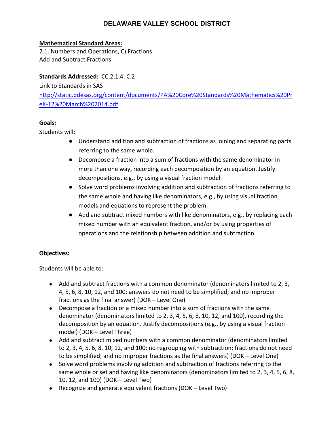#### **Mathematical Standard Areas:**

2.1. Numbers and Operations, C) Fractions Add and Subtract Fractions

#### **Standards Addressed:** CC.2.1.4. C.2

Link to Standards in SAS http://static.pdesas.org/content/documents/PA%20Core%20Standards%20Mathematics%20Pr eK‐12%20March%202014.pdf

#### **Goals:**

Students will:

- Understand addition and subtraction of fractions as joining and separating parts referring to the same whole.
- Decompose a fraction into a sum of fractions with the same denominator in more than one way, recording each decomposition by an equation. Justify decompositions, e.g., by using a visual fraction model.
- Solve word problems involving addition and subtraction of fractions referring to the same whole and having like denominators, e.g., by using visual fraction models and equations to represent the problem.
- Add and subtract mixed numbers with like denominators, e.g., by replacing each mixed number with an equivalent fraction, and/or by using properties of operations and the relationship between addition and subtraction.

#### **Objectives:**

- Add and subtract fractions with a common denominator (denominators limited to 2, 3, 4, 5, 6, 8, 10, 12, and 100; answers do not need to be simplified; and no improper fractions as the final answer) (DOK – Level One)
- Decompose a fraction or a mixed number into a sum of fractions with the same denominator (denominators limited to 2, 3, 4, 5, 6, 8, 10, 12, and 100), recording the decomposition by an equation. Justify decompositions (e.g., by using a visual fraction model) (DOK – Level Three)
- Add and subtract mixed numbers with a common denominator (denominators limited to 2, 3, 4, 5, 6, 8, 10, 12, and 100; no regrouping with subtraction; fractions do not need to be simplified; and no improper fractions as the final answers) (DOK – Level One)
- Solve word problems involving addition and subtraction of fractions referring to the same whole or set and having like denominators (denominators limited to 2, 3, 4, 5, 6, 8, 10, 12, and 100) (DOK – Level Two)
- Recognize and generate equivalent fractions (DOK Level Two)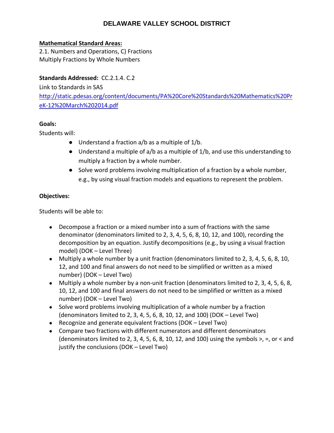#### **Mathematical Standard Areas:**

2.1. Numbers and Operations, C) Fractions Multiply Fractions by Whole Numbers

#### **Standards Addressed:** CC.2.1.4. C.2

Link to Standards in SAS http://static.pdesas.org/content/documents/PA%20Core%20Standards%20Mathematics%20Pr eK‐12%20March%202014.pdf

#### **Goals:**

Students will:

- Understand a fraction a/b as a multiple of 1/b.
- Understand a multiple of a/b as a multiple of 1/b, and use this understanding to multiply a fraction by a whole number.
- Solve word problems involving multiplication of a fraction by a whole number, e.g., by using visual fraction models and equations to represent the problem.

#### **Objectives:**

- Decompose a fraction or a mixed number into a sum of fractions with the same denominator (denominators limited to 2, 3, 4, 5, 6, 8, 10, 12, and 100), recording the decomposition by an equation. Justify decompositions (e.g., by using a visual fraction model) (DOK – Level Three)
- Multiply a whole number by a unit fraction (denominators limited to 2, 3, 4, 5, 6, 8, 10, 12, and 100 and final answers do not need to be simplified or written as a mixed number) (DOK – Level Two)
- Multiply a whole number by a non-unit fraction (denominators limited to 2, 3, 4, 5, 6, 8, 10, 12, and 100 and final answers do not need to be simplified or written as a mixed number) (DOK – Level Two)
- Solve word problems involving multiplication of a whole number by a fraction (denominators limited to 2, 3, 4, 5, 6, 8, 10, 12, and 100) (DOK – Level Two)
- Recognize and generate equivalent fractions (DOK Level Two)
- Compare two fractions with different numerators and different denominators (denominators limited to 2, 3, 4, 5, 6, 8, 10, 12, and 100) using the symbols  $>$ ,  $=$ , or  $<$  and justify the conclusions (DOK – Level Two)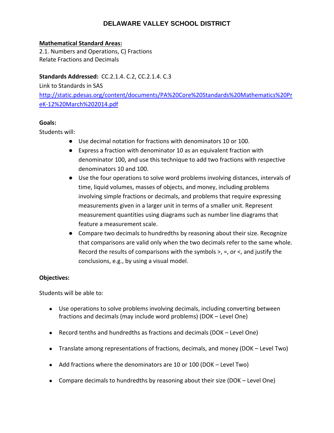#### **Mathematical Standard Areas:**

2.1. Numbers and Operations, C) Fractions Relate Fractions and Decimals

#### **Standards Addressed:** CC.2.1.4. C.2, CC.2.1.4. C.3

Link to Standards in SAS http://static.pdesas.org/content/documents/PA%20Core%20Standards%20Mathematics%20Pr eK‐12%20March%202014.pdf

#### **Goals:**

Students will:

- Use decimal notation for fractions with denominators 10 or 100.
- Express a fraction with denominator 10 as an equivalent fraction with denominator 100, and use this technique to add two fractions with respective denominators 10 and 100.
- Use the four operations to solve word problems involving distances, intervals of time, liquid volumes, masses of objects, and money, including problems involving simple fractions or decimals, and problems that require expressing measurements given in a larger unit in terms of a smaller unit. Represent measurement quantities using diagrams such as number line diagrams that feature a measurement scale.
- Compare two decimals to hundredths by reasoning about their size. Recognize that comparisons are valid only when the two decimals refer to the same whole. Record the results of comparisons with the symbols >, =, or <, and justify the conclusions, e.g., by using a visual model.

#### **Objectives:**

- Use operations to solve problems involving decimals, including converting between fractions and decimals (may include word problems) (DOK – Level One)
- Record tenths and hundredths as fractions and decimals (DOK Level One)
- Translate among representations of fractions, decimals, and money (DOK Level Two)
- Add fractions where the denominators are 10 or 100 (DOK Level Two)
- Compare decimals to hundredths by reasoning about their size (DOK Level One)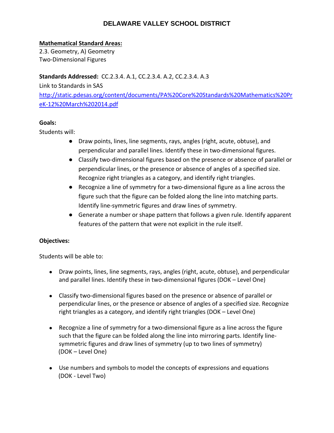#### **Mathematical Standard Areas:**

2.3. Geometry, A) Geometry Two‐Dimensional Figures

**Standards Addressed:** CC.2.3.4. A.1, CC.2.3.4. A.2, CC.2.3.4. A.3

Link to Standards in SAS http://static.pdesas.org/content/documents/PA%20Core%20Standards%20Mathematics%20Pr eK‐12%20March%202014.pdf

#### **Goals:**

Students will:

- Draw points, lines, line segments, rays, angles (right, acute, obtuse), and perpendicular and parallel lines. Identify these in two-dimensional figures.
- Classify two-dimensional figures based on the presence or absence of parallel or perpendicular lines, or the presence or absence of angles of a specified size. Recognize right triangles as a category, and identify right triangles.
- Recognize a line of symmetry for a two-dimensional figure as a line across the figure such that the figure can be folded along the line into matching parts. Identify line‐symmetric figures and draw lines of symmetry.
- Generate a number or shape pattern that follows a given rule. Identify apparent features of the pattern that were not explicit in the rule itself.

#### **Objectives:**

- Draw points, lines, line segments, rays, angles (right, acute, obtuse), and perpendicular and parallel lines. Identify these in two-dimensional figures (DOK – Level One)
- Classify two-dimensional figures based on the presence or absence of parallel or perpendicular lines, or the presence or absence of angles of a specified size. Recognize right triangles as a category, and identify right triangles (DOK – Level One)
- Recognize a line of symmetry for a two-dimensional figure as a line across the figure such that the figure can be folded along the line into mirroring parts. Identify linesymmetric figures and draw lines of symmetry (up to two lines of symmetry) (DOK – Level One)
- Use numbers and symbols to model the concepts of expressions and equations (DOK ‐ Level Two)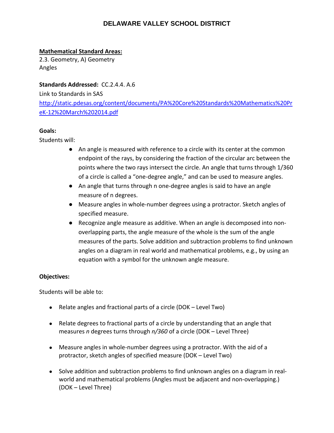#### **Mathematical Standard Areas:**

2.3. Geometry, A) Geometry Angles

**Standards Addressed:** CC.2.4.4. A.6

Link to Standards in SAS

http://static.pdesas.org/content/documents/PA%20Core%20Standards%20Mathematics%20Pr eK‐12%20March%202014.pdf

#### **Goals:**

Students will:

- An angle is measured with reference to a circle with its center at the common endpoint of the rays, by considering the fraction of the circular arc between the points where the two rays intersect the circle. An angle that turns through 1/360 of a circle is called a "one‐degree angle," and can be used to measure angles.
- An angle that turns through n one-degree angles is said to have an angle measure of n degrees.
- Measure angles in whole-number degrees using a protractor. Sketch angles of specified measure.
- Recognize angle measure as additive. When an angle is decomposed into nonoverlapping parts, the angle measure of the whole is the sum of the angle measures of the parts. Solve addition and subtraction problems to find unknown angles on a diagram in real world and mathematical problems, e.g., by using an equation with a symbol for the unknown angle measure.

#### **Objectives:**

- Relate angles and fractional parts of a circle (DOK Level Two)
- Relate degrees to fractional parts of a circle by understanding that an angle that measures *n* degrees turns through *n/360* of a circle (DOK – Level Three)
- Measure angles in whole-number degrees using a protractor. With the aid of a protractor, sketch angles of specified measure (DOK – Level Two)
- Solve addition and subtraction problems to find unknown angles on a diagram in realworld and mathematical problems (Angles must be adjacent and non-overlapping.) (DOK – Level Three)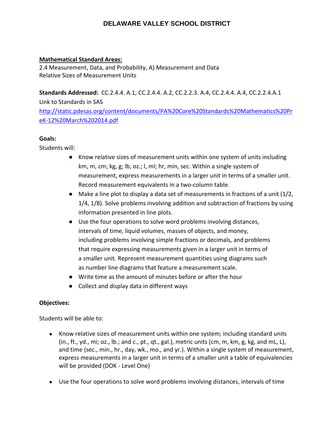#### **Mathematical Standard Areas:**

2.4 Measurement, Data, and Probability, A) Measurement and Data Relative Sizes of Measurement Units

**Standards Addressed:** CC.2.4.4. A.1, CC.2.4.4. A.2, CC.2.2.3. A.4, CC.2.4.4. A.4, CC.2.2.4.A.1

Link to Standards in SAS http://static.pdesas.org/content/documents/PA%20Core%20Standards%20Mathematics%20Pr eK‐12%20March%202014.pdf

#### **Goals:**

Students will:

- Know relative sizes of measurement units within one system of units including km, m, cm; kg, g; lb, oz.; l, ml; hr, min, sec. Within a single system of measurement, express measurements in a larger unit in terms of a smaller unit. Record measurement equivalents in a two‐column table.
- $\bullet$  Make a line plot to display a data set of measurements in fractions of a unit (1/2, 1/4, 1/8). Solve problems involving addition and subtraction of fractions by using information presented in line plots.
- Use the four operations to solve word problems involving distances, intervals of time, liquid volumes, masses of objects, and money, including problems involving simple fractions or decimals, and problems that require expressing measurements given in a larger unit in terms of a smaller unit. Represent measurement quantities using diagrams such as number line diagrams that feature a measurement scale.
- Write time as the amount of minutes before or after the hour
- Collect and display data in different ways

#### **Objectives:**

- Know relative sizes of measurement units within one system; including standard units (in., ft., yd., mi; oz., lb.; and c., pt., qt., gal.), metric units (cm, m, km, g, kg, and mL, L), and time (sec., min., hr., day, wk., mo., and yr.). Within a single system of measurement, express measurements in a larger unit in terms of a smaller unit a table of equivalencies will be provided (DOK ‐ Level One)
- Use the four operations to solve word problems involving distances, intervals of time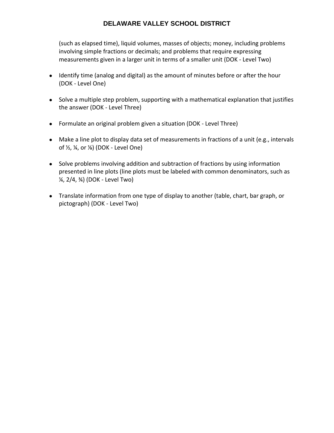(such as elapsed time), liquid volumes, masses of objects; money, including problems involving simple fractions or decimals; and problems that require expressing measurements given in a larger unit in terms of a smaller unit (DOK ‐ Level Two)

- Identify time (analog and digital) as the amount of minutes before or after the hour (DOK ‐ Level One)
- Solve a multiple step problem, supporting with a mathematical explanation that justifies the answer (DOK ‐ Level Three)
- Formulate an original problem given a situation (DOK Level Three)
- Make a line plot to display data set of measurements in fractions of a unit (e.g., intervals of ½, ¼, or ⅛) (DOK ‐ Level One)
- Solve problems involving addition and subtraction of fractions by using information presented in line plots (line plots must be labeled with common denominators, such as ¼, 2/4, ¾) (DOK ‐ Level Two)
- Translate information from one type of display to another (table, chart, bar graph, or pictograph) (DOK ‐ Level Two)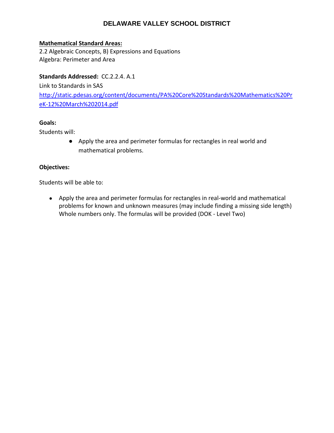#### **Mathematical Standard Areas:**

2.2 Algebraic Concepts, B) Expressions and Equations Algebra: Perimeter and Area

#### **Standards Addressed:** CC.2.2.4. A.1

Link to Standards in SAS http://static.pdesas.org/content/documents/PA%20Core%20Standards%20Mathematics%20Pr eK‐12%20March%202014.pdf

#### **Goals:**

Students will:

● Apply the area and perimeter formulas for rectangles in real world and mathematical problems.

#### **Objectives:**

Students will be able to:

● Apply the area and perimeter formulas for rectangles in real-world and mathematical problems for known and unknown measures (may include finding a missing side length) Whole numbers only. The formulas will be provided (DOK ‐ Level Two)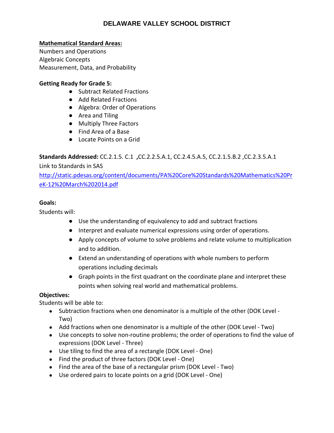#### **Mathematical Standard Areas:**

Numbers and Operations Algebraic Concepts Measurement, Data, and Probability

#### **Getting Ready for Grade 5:**

- Subtract Related Fractions
- Add Related Fractions
- Algebra: Order of Operations
- Area and Tiling
- Multiply Three Factors
- Find Area of a Base
- Locate Points on a Grid

#### **Standards Addressed:** CC.2.1.5. C.1 **,**CC.2.2.5.A.1, CC.2.4.5.A.5, CC.2.1.5.B.2 ,CC.2.3.5.A.1

#### Link to Standards in SAS

http://static.pdesas.org/content/documents/PA%20Core%20Standards%20Mathematics%20Pr eK‐12%20March%202014.pdf

#### **Goals:**

Students will:

- Use the understanding of equivalency to add and subtract fractions
- Interpret and evaluate numerical expressions using order of operations.
- Apply concepts of volume to solve problems and relate volume to multiplication and to addition.
- Extend an understanding of operations with whole numbers to perform operations including decimals
- Graph points in the first quadrant on the coordinate plane and interpret these points when solving real world and mathematical problems.

#### **Objectives:**

- Subtraction fractions when one denominator is a multiple of the other (DOK Level -Two)
- Add fractions when one denominator is a multiple of the other (DOK Level Two)
- Use concepts to solve non-routine problems; the order of operations to find the value of expressions (DOK Level ‐ Three)
- Use tiling to find the area of a rectangle (DOK Level One)
- Find the product of three factors (DOK Level One)
- Find the area of the base of a rectangular prism (DOK Level Two)
- Use ordered pairs to locate points on a grid (DOK Level One)